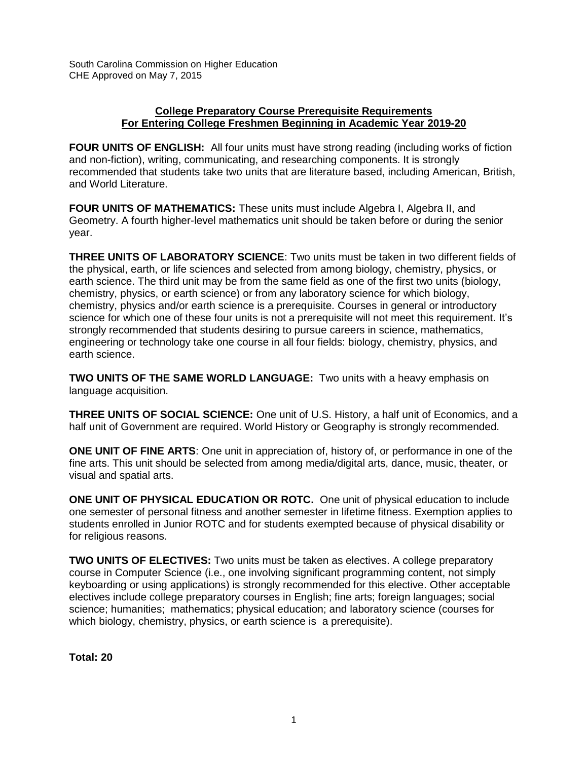South Carolina Commission on Higher Education CHE Approved on May 7, 2015

## **College Preparatory Course Prerequisite Requirements For Entering College Freshmen Beginning in Academic Year 2019-20**

**FOUR UNITS OF ENGLISH:** All four units must have strong reading (including works of fiction and non-fiction), writing, communicating, and researching components. It is strongly recommended that students take two units that are literature based, including American, British, and World Literature.

**FOUR UNITS OF MATHEMATICS:** These units must include Algebra I, Algebra II, and Geometry. A fourth higher-level mathematics unit should be taken before or during the senior year.

**THREE UNITS OF LABORATORY SCIENCE**: Two units must be taken in two different fields of the physical, earth, or life sciences and selected from among biology, chemistry, physics, or earth science. The third unit may be from the same field as one of the first two units (biology, chemistry, physics, or earth science) or from any laboratory science for which biology, chemistry, physics and/or earth science is a prerequisite. Courses in general or introductory science for which one of these four units is not a prerequisite will not meet this requirement. It's strongly recommended that students desiring to pursue careers in science, mathematics, engineering or technology take one course in all four fields: biology, chemistry, physics, and earth science.

**TWO UNITS OF THE SAME WORLD LANGUAGE:** Two units with a heavy emphasis on language acquisition.

**THREE UNITS OF SOCIAL SCIENCE:** One unit of U.S. History, a half unit of Economics, and a half unit of Government are required. World History or Geography is strongly recommended.

**ONE UNIT OF FINE ARTS**: One unit in appreciation of, history of, or performance in one of the fine arts. This unit should be selected from among media/digital arts, dance, music, theater, or visual and spatial arts.

**ONE UNIT OF PHYSICAL EDUCATION OR ROTC.** One unit of physical education to include one semester of personal fitness and another semester in lifetime fitness. Exemption applies to students enrolled in Junior ROTC and for students exempted because of physical disability or for religious reasons.

**TWO UNITS OF ELECTIVES:** Two units must be taken as electives. A college preparatory course in Computer Science (i.e., one involving significant programming content, not simply keyboarding or using applications) is strongly recommended for this elective. Other acceptable electives include college preparatory courses in English; fine arts; foreign languages; social science; humanities; mathematics; physical education; and laboratory science (courses for which biology, chemistry, physics, or earth science is a prerequisite).

**Total: 20**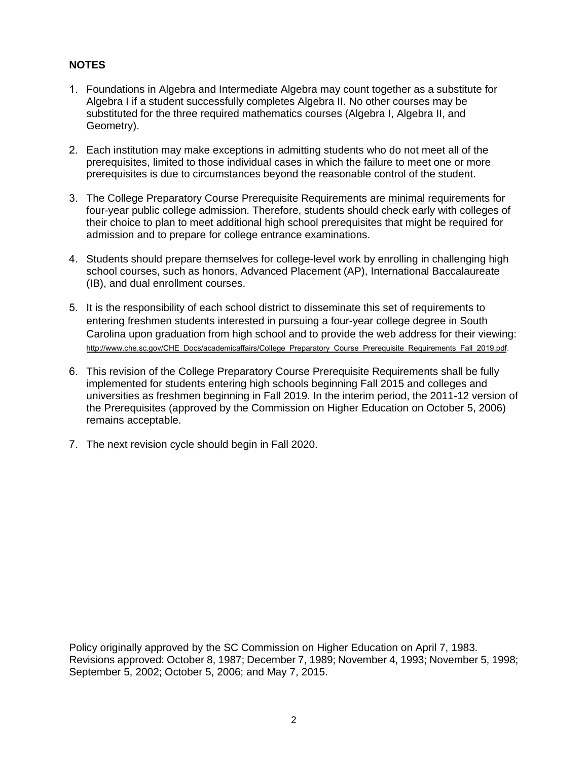## **NOTES**

- 1. Foundations in Algebra and Intermediate Algebra may count together as a substitute for Algebra I if a student successfully completes Algebra II. No other courses may be substituted for the three required mathematics courses (Algebra I, Algebra II, and Geometry).
- 2. Each institution may make exceptions in admitting students who do not meet all of the prerequisites, limited to those individual cases in which the failure to meet one or more prerequisites is due to circumstances beyond the reasonable control of the student.
- 3. The College Preparatory Course Prerequisite Requirements are minimal requirements for four-year public college admission. Therefore, students should check early with colleges of their choice to plan to meet additional high school prerequisites that might be required for admission and to prepare for college entrance examinations.
- 4. Students should prepare themselves for college-level work by enrolling in challenging high school courses, such as honors, Advanced Placement (AP), International Baccalaureate (IB), and dual enrollment courses.
- 5. It is the responsibility of each school district to disseminate this set of requirements to entering freshmen students interested in pursuing a four-year college degree in South Carolina upon graduation from high school and to provide the web address for their viewing: [http://www.che.sc.gov/CHE\\_Docs/academicaffairs/College\\_Preparatory\\_Course\\_Prerequisite\\_Requirements\\_Fall\\_2019.pdf](http://www.che.sc.gov/CHE_Docs/academicaffairs/College_Preparatory_Course_Prerequisite_Requirements_Fall_2019%20(1).pdf).
- 6. This revision of the College Preparatory Course Prerequisite Requirements shall be fully implemented for students entering high schools beginning Fall 2015 and colleges and universities as freshmen beginning in Fall 2019. In the interim period, the 2011-12 version of the Prerequisites (approved by the Commission on Higher Education on October 5, 2006) remains acceptable.
- 7. The next revision cycle should begin in Fall 2020.

Policy originally approved by the SC Commission on Higher Education on April 7, 1983. Revisions approved: October 8, 1987; December 7, 1989; November 4, 1993; November 5, 1998; September 5, 2002; October 5, 2006; and May 7, 2015.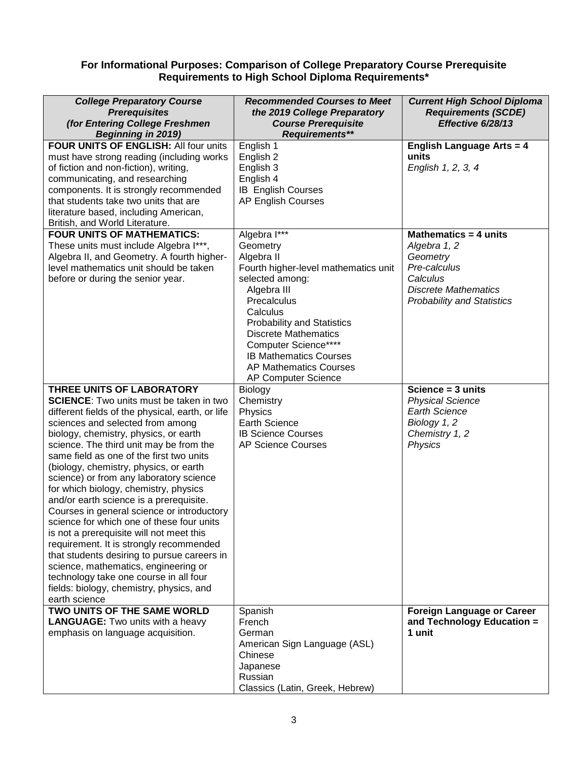## **For Informational Purposes: Comparison of College Preparatory Course Prerequisite Requirements to High School Diploma Requirements\***

| <b>College Preparatory Course</b><br><b>Prerequisites</b><br>(for Entering College Freshmen<br><b>Beginning in 2019)</b>                                                                                                                                                                                                                                                                                                                                                                                                                                                                                                                                                                                                                                                                                                                                     | <b>Recommended Courses to Meet</b><br>the 2019 College Preparatory<br><b>Course Prerequisite</b><br>Requirements**                                                                                                                                                                                                               | <b>Current High School Diploma</b><br><b>Requirements (SCDE)</b><br>Effective 6/28/13                                                             |
|--------------------------------------------------------------------------------------------------------------------------------------------------------------------------------------------------------------------------------------------------------------------------------------------------------------------------------------------------------------------------------------------------------------------------------------------------------------------------------------------------------------------------------------------------------------------------------------------------------------------------------------------------------------------------------------------------------------------------------------------------------------------------------------------------------------------------------------------------------------|----------------------------------------------------------------------------------------------------------------------------------------------------------------------------------------------------------------------------------------------------------------------------------------------------------------------------------|---------------------------------------------------------------------------------------------------------------------------------------------------|
| FOUR UNITS OF ENGLISH: All four units<br>must have strong reading (including works<br>of fiction and non-fiction), writing,<br>communicating, and researching<br>components. It is strongly recommended<br>that students take two units that are<br>literature based, including American,<br>British, and World Literature.                                                                                                                                                                                                                                                                                                                                                                                                                                                                                                                                  | English 1<br>English 2<br>English 3<br>English 4<br><b>IB English Courses</b><br><b>AP English Courses</b>                                                                                                                                                                                                                       | <b>English Language Arts = 4</b><br>units<br>English 1, 2, 3, 4                                                                                   |
| <b>FOUR UNITS OF MATHEMATICS:</b><br>These units must include Algebra I***,<br>Algebra II, and Geometry. A fourth higher-<br>level mathematics unit should be taken<br>before or during the senior year.                                                                                                                                                                                                                                                                                                                                                                                                                                                                                                                                                                                                                                                     | Algebra I***<br>Geometry<br>Algebra II<br>Fourth higher-level mathematics unit<br>selected among:<br>Algebra III<br>Precalculus<br>Calculus<br><b>Probability and Statistics</b><br><b>Discrete Mathematics</b><br>Computer Science****<br><b>IB Mathematics Courses</b><br><b>AP Mathematics Courses</b><br>AP Computer Science | Mathematics = 4 units<br>Algebra 1, 2<br>Geometry<br>Pre-calculus<br>Calculus<br><b>Discrete Mathematics</b><br><b>Probability and Statistics</b> |
| THREE UNITS OF LABORATORY<br><b>SCIENCE:</b> Two units must be taken in two<br>different fields of the physical, earth, or life<br>sciences and selected from among<br>biology, chemistry, physics, or earth<br>science. The third unit may be from the<br>same field as one of the first two units<br>(biology, chemistry, physics, or earth<br>science) or from any laboratory science<br>for which biology, chemistry, physics<br>and/or earth science is a prerequisite.<br>Courses in general science or introductory<br>science for which one of these four units<br>is not a prerequisite will not meet this<br>requirement. It is strongly recommended<br>that students desiring to pursue careers in<br>science, mathematics, engineering or<br>technology take one course in all four<br>fields: biology, chemistry, physics, and<br>earth science | Biology<br>Chemistry<br>Physics<br><b>Earth Science</b><br><b>IB Science Courses</b><br><b>AP Science Courses</b>                                                                                                                                                                                                                | Science $=$ 3 units<br><b>Physical Science</b><br><b>Earth Science</b><br>Biology 1, 2<br>Chemistry 1, 2<br>Physics                               |
| TWO UNITS OF THE SAME WORLD<br><b>LANGUAGE:</b> Two units with a heavy<br>emphasis on language acquisition.                                                                                                                                                                                                                                                                                                                                                                                                                                                                                                                                                                                                                                                                                                                                                  | Spanish<br>French<br>German<br>American Sign Language (ASL)<br>Chinese<br>Japanese<br>Russian<br>Classics (Latin, Greek, Hebrew)                                                                                                                                                                                                 | <b>Foreign Language or Career</b><br>and Technology Education =<br>1 unit                                                                         |